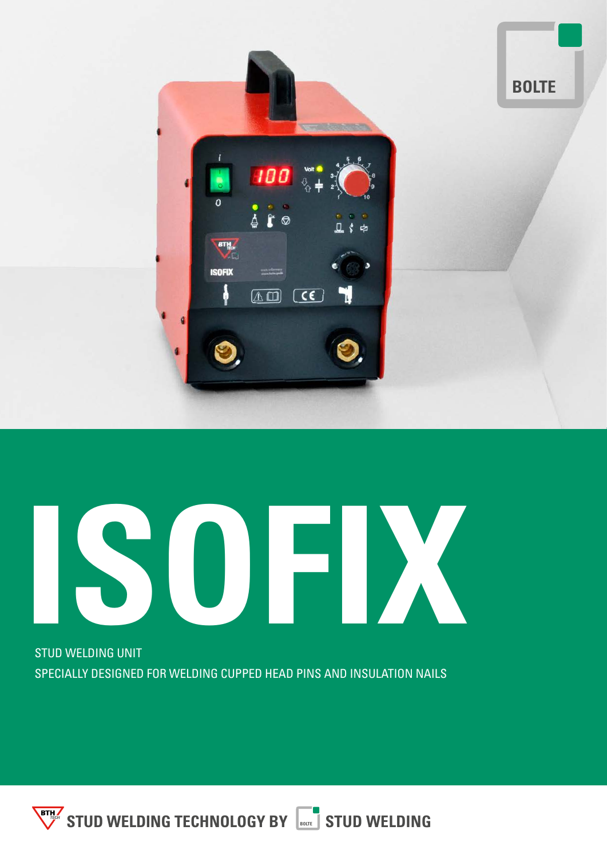

# **ISOFIX**

STUD WELDING UNIT SPECIALLY DESIGNED FOR WELDING CUPPED HEAD PINS AND INSULATION NAILS

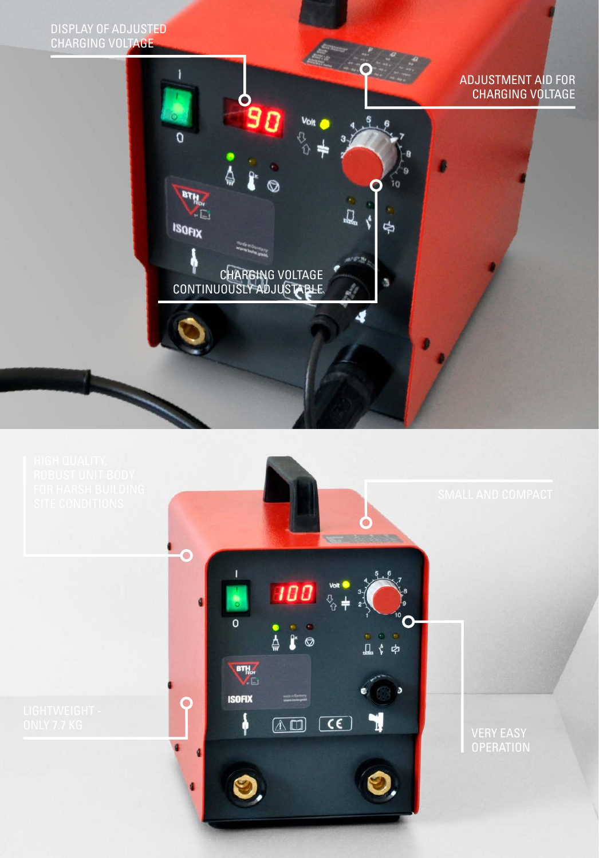DISPLAY OF ADJUSTED CHARGING VOLTAGE

O

**BTH** KD.

**ISOFIX** 

#### ADJUSTMENT AID FOR CHARGING VOLTAGE



CHARGING VOLTAGE

D

 $-\rho$ 

 $10$ 

₿

CONTINUOUSLY ADJUSTABLE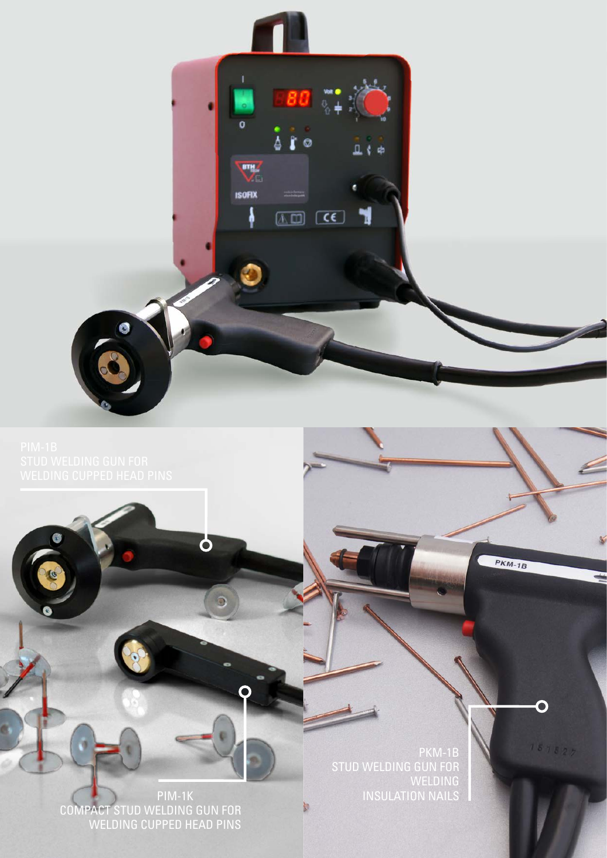

**PKM-1B** 

D

 $181827$ 

**PIM-1K** COMPACT STUD WELDING GUN FOR WELDING CUPPED HEAD PINS

 $\overline{\mathbf{Q}}$ 

PKM-1B STUD WELDING GUN FOR WELDING

b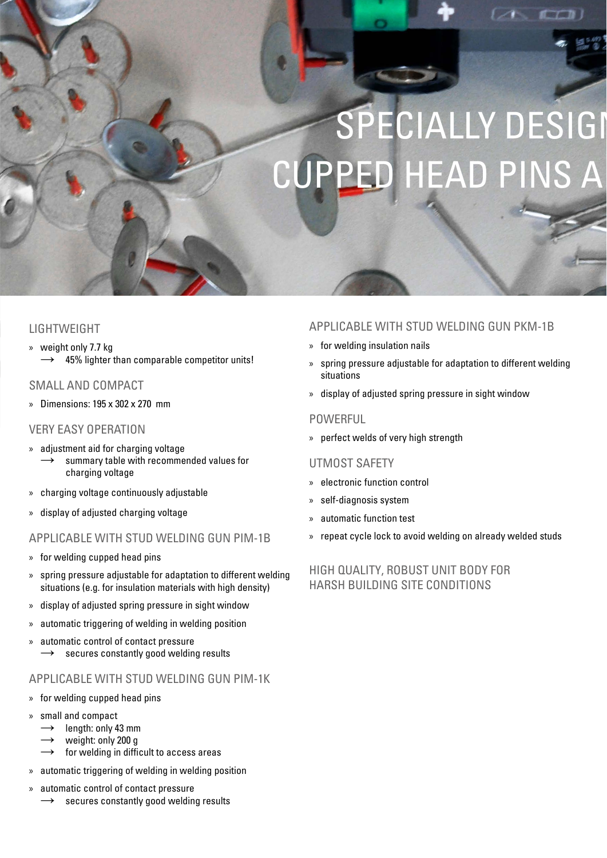## SPECIALLY DESIGI **CUPPED HEAD PINS A**

#### LIGHTWEIGHT

» weight only 7.7 kg  $\rightarrow$  45% lighter than comparable competitor units!

#### SMALL AND COMPACT

» Dimensions: 195 x 302 x 270 mm

#### VERY EASY OPERATION

- » adjustment aid for charging voltage summary table with recommended values for charging voltage
- » charging voltage continuously adjustable
- » display of adjusted charging voltage

#### APPLICABLE WITH STUD WELDING GUN PIM-1B

- » for welding cupped head pins
- » spring pressure adjustable for adaptation to different welding situations (e.g. for insulation materials with high density)
- » display of adjusted spring pressure in sight window
- » automatic triggering of welding in welding position
- » automatic control of contact pressure  $\rightarrow$  secures constantly good welding results

#### APPLICABLE WITH STUD WELDING GUN PIM-1K

- » for welding cupped head pins
- » small and compact
	- $\rightarrow$  length: only 43 mm
	- weight: only 200 g
	- for welding in difficult to access areas
- » automatic triggering of welding in welding position
- » automatic control of contact pressure
	- secures constantly good welding results

#### APPLICABLE WITH STUD WELDING GUN PKM-1B

- » for welding insulation nails
- » spring pressure adjustable for adaptation to different welding situations
- » display of adjusted spring pressure in sight window

#### **POWERFUL**

» perfect welds of very high strength

#### UTMOST SAFETY

- » electronic function control
- » self-diagnosis system
- » automatic function test
- » repeat cycle lock to avoid welding on already welded studs

#### HIGH QUALITY, ROBUST UNIT BODY FOR HARSH BUILDING SITE CONDITIONS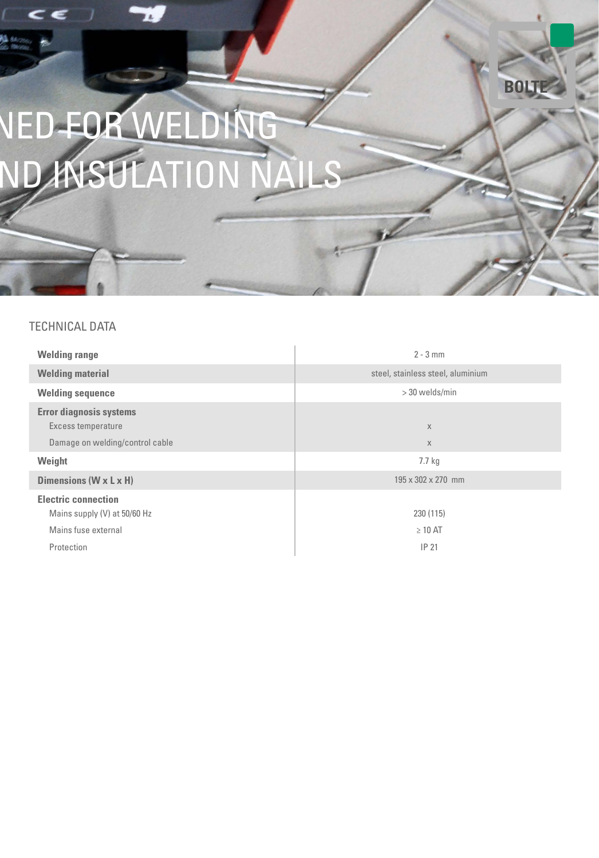## NED FOR WELDING ND ANSULATION NAILS

#### TECHNICAL DATA

| <b>Welding range</b>                                       | $2 - 3$ mm                        |
|------------------------------------------------------------|-----------------------------------|
| <b>Welding material</b>                                    | steel, stainless steel, aluminium |
| <b>Welding sequence</b>                                    | > 30 welds/min                    |
| <b>Error diagnosis systems</b><br>Excess temperature       | X                                 |
| Damage on welding/control cable                            | $\chi$                            |
| Weight                                                     | 7.7 <sub>kq</sub>                 |
| Dimensions ( $W \times L \times H$ )                       | 195 x 302 x 270 mm                |
| <b>Electric connection</b><br>Mains supply (V) at 50/60 Hz | 230 (115)                         |
| Mains fuse external                                        | $\geq 10$ AT                      |
| Protection                                                 | IP 21                             |

**BOLTE**